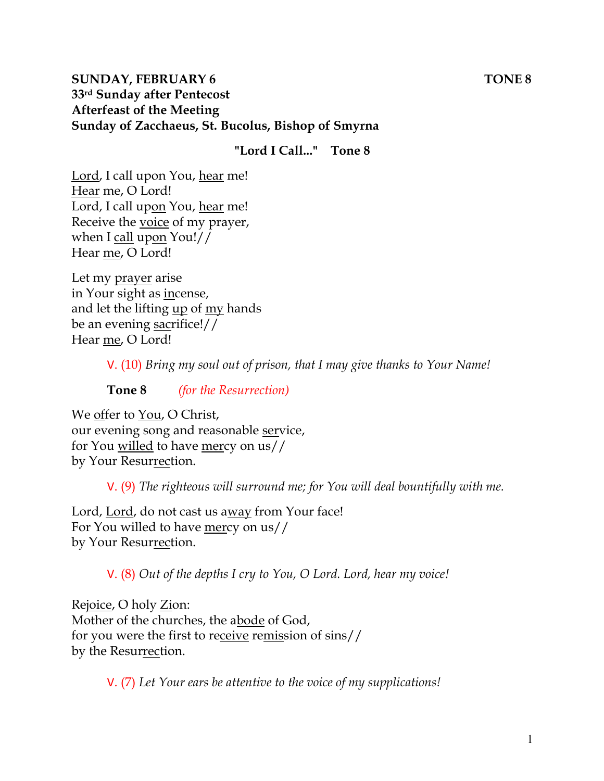#### **SUNDAY, FEBRUARY 6 TONE 8 33rd Sunday after Pentecost Afterfeast of the Meeting Sunday of Zacchaeus, St. Bucolus, Bishop of Smyrna**

**"Lord I Call..." Tone 8**

Lord, I call upon You, hear me! Hear me, O Lord! Lord, I call upon You, hear me! Receive the voice of my prayer, when I call upon You!// Hear me, O Lord!

Let my prayer arise in Your sight as incense, and let the lifting up of my hands be an evening sacrifice!// Hear me, O Lord!

V. (10) *Bring my soul out of prison, that I may give thanks to Your Name!* 

**Tone 8** *(for the Resurrection)* 

We offer to You, O Christ, our evening song and reasonable service, for You willed to have mercy on us// by Your Resurrection.

V. (9) *The righteous will surround me; for You will deal bountifully with me.* 

Lord, Lord, do not cast us away from Your face! For You willed to have mercy on us// by Your Resurrection.

V. (8) *Out of the depths I cry to You, O Lord. Lord, hear my voice!* 

Rejoice, O holy Zion: Mother of the churches, the abode of God, for you were the first to receive remission of sins// by the Resurrection.

V. (7) *Let Your ears be attentive to the voice of my supplications!*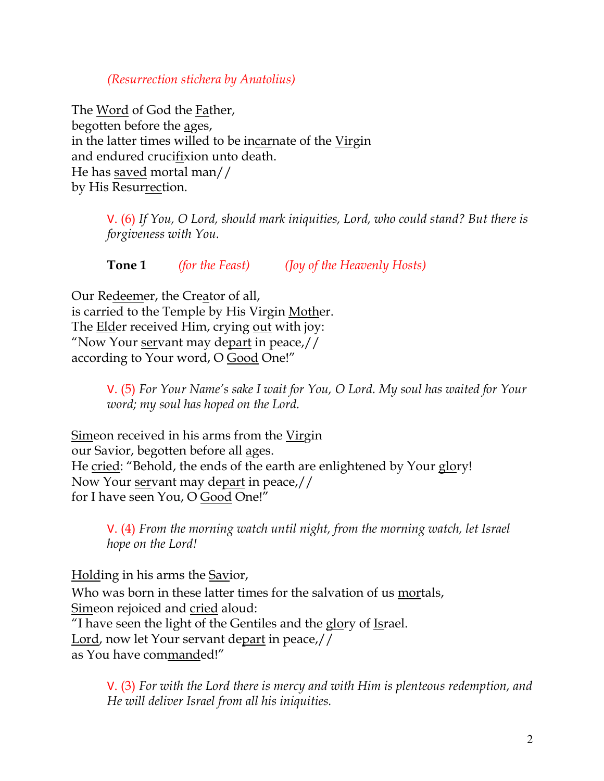#### *(Resurrection stichera by Anatolius)*

The Word of God the Father, begotten before the ages, in the latter times willed to be incarnate of the Virgin and endured crucifixion unto death. He has saved mortal man// by His Resurrection.

> V. (6) *If You, O Lord, should mark iniquities, Lord, who could stand? But there is forgiveness with You.*

**Tone 1** *(for the Feast) (Joy of the Heavenly Hosts)*

Our Redeemer, the Creator of all, is carried to the Temple by His Virgin Mother. The Elder received Him, crying out with joy: "Now Your servant may depart in peace,// according to Your word, O Good One!"

> V. (5) *For Your Name's sake I wait for You, O Lord. My soul has waited for Your word; my soul has hoped on the Lord.*

Simeon received in his arms from the Virgin our Savior, begotten before all ages. He cried: "Behold, the ends of the earth are enlightened by Your glory! Now Your <u>servant</u> may depart in peace,// for I have seen You, O Good One!"

V. (4) *From the morning watch until night, from the morning watch, let Israel hope on the Lord!* 

Holding in his arms the Savior,

Who was born in these latter times for the salvation of us mortals, Simeon rejoiced and cried aloud:

"I have seen the light of the Gentiles and the glory of Israel.

Lord, now let Your servant depart in peace,//

as You have commanded!"

V. (3) *For with the Lord there is mercy and with Him is plenteous redemption, and He will deliver Israel from all his iniquities.*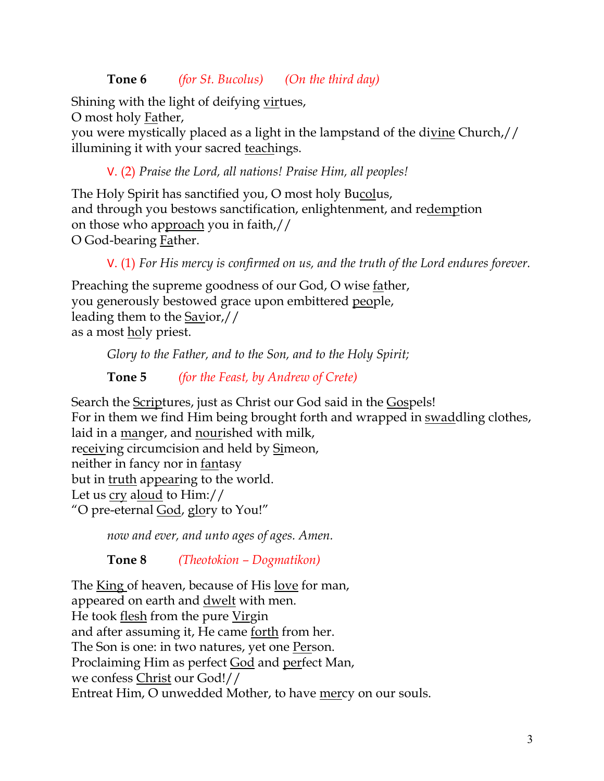## **Tone 6** *(for St. Bucolus) (On the third day)*

Shining with the light of deifying virtues,

O most holy Father,

you were mystically placed as a light in the lampstand of the divine Church,// illumining it with your sacred teachings.

V. (2) *Praise the Lord, all nations! Praise Him, all peoples!*

The Holy Spirit has sanctified you, O most holy Bucolus, and through you bestows sanctification, enlightenment, and redemption on those who approach you in faith,// O God-bearing Father.

V. (1) *For His mercy is confirmed on us, and the truth of the Lord endures forever.* 

Preaching the supreme goodness of our God, O wise father, you generously bestowed grace upon embittered people, leading them to the Savior,// as a most holy priest.

*Glory to the Father, and to the Son, and to the Holy Spirit;*

**Tone 5** *(for the Feast, by Andrew of Crete)*

Search the Scriptures, just as Christ our God said in the Gospels! For in them we find Him being brought forth and wrapped in swaddling clothes, laid in a manger, and nourished with milk, receiving circumcision and held by Simeon, neither in fancy nor in fantasy but in truth appearing to the world. Let us cry aloud to Him:// "O pre-eternal God, glory to You!"

*now and ever, and unto ages of ages. Amen.* 

**Tone 8** *(Theotokion – Dogmatikon)*

The King of heaven, because of His love for man, appeared on earth and <u>dwelt</u> with men. He took flesh from the pure Virgin and after assuming it, He came forth from her. The Son is one: in two natures, yet one Person. Proclaiming Him as perfect God and perfect Man, we confess Christ our God!// Entreat Him, O unwedded Mother, to have mercy on our souls.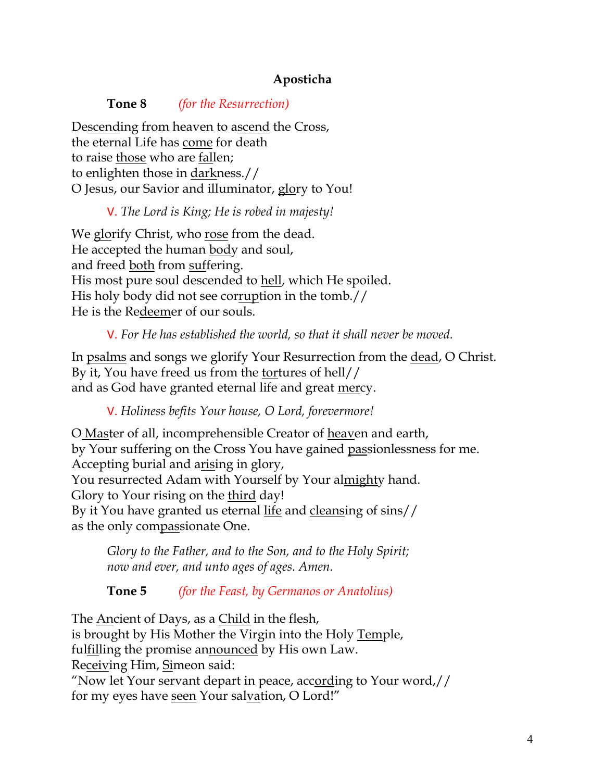## **Aposticha**

#### **Tone 8** *(for the Resurrection)*

Descending from heaven to ascend the Cross, the eternal Life has come for death to raise those who are fallen; to enlighten those in darkness.// O Jesus, our Savior and illuminator, glory to You!

#### V. *The Lord is King; He is robed in majesty!*

We glorify Christ, who rose from the dead. He accepted the human body and soul, and freed both from suffering. His most pure soul descended to hell, which He spoiled. His holy body did not see corruption in the tomb.// He is the Redeemer of our souls.

V. *For He has established the world, so that it shall never be moved.*

In psalms and songs we glorify Your Resurrection from the dead, O Christ. By it, You have freed us from the tortures of hell// and as God have granted eternal life and great mercy.

V. *Holiness befits Your house, O Lord, forevermore!* 

O Master of all, incomprehensible Creator of heaven and earth, by Your suffering on the Cross You have gained passionlessness for me. Accepting burial and arising in glory, You resurrected Adam with Yourself by Your almighty hand. Glory to Your rising on the third day! By it You have granted us eternal life and cleansing of sins// as the only compassionate One.

*Glory to the Father, and to the Son, and to the Holy Spirit; now and ever, and unto ages of ages. Amen.*

**Tone 5** *(for the Feast, by Germanos or Anatolius)*

The Ancient of Days, as a Child in the flesh, is brought by His Mother the Virgin into the Holy Temple, ful<u>fil</u>ling the promise announced by His own Law. Receiving Him, Simeon said: "Now let Your servant depart in peace, according to Your word,// for my eyes have <u>seen</u> Your salvation, O Lord!"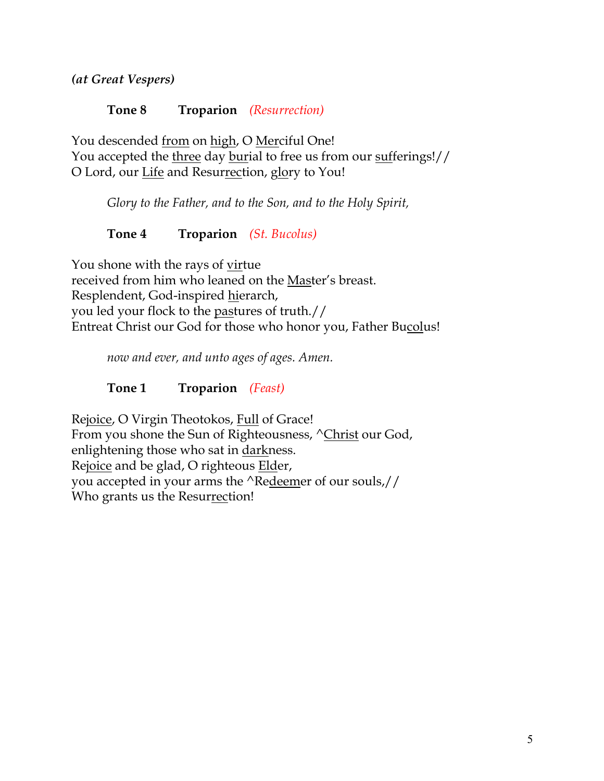*(at Great Vespers)*

#### **Tone 8 Troparion** *(Resurrection)*

You descended from on high, O Merciful One! You accepted the three day burial to free us from our sufferings!// O Lord, our Life and Resurrection, glory to You!

*Glory to the Father, and to the Son, and to the Holy Spirit,*

## **Tone 4 Troparion** *(St. Bucolus)*

You shone with the rays of virtue received from him who leaned on the Master's breast. Resplendent, God-inspired hierarch, you led your flock to the pastures of truth.// Entreat Christ our God for those who honor you, Father Bucolus!

*now and ever, and unto ages of ages. Amen.*

**Tone 1 Troparion** *(Feast)*

Rejoice, O Virgin Theotokos, Full of Grace! From you shone the Sun of Righteousness,  $\sqrt{\text{Christ}}$  our God, enlightening those who sat in darkness. Rejoice and be glad, O righteous Elder, you accepted in your arms the ^Redeemer of our souls,// Who grants us the Resurrection!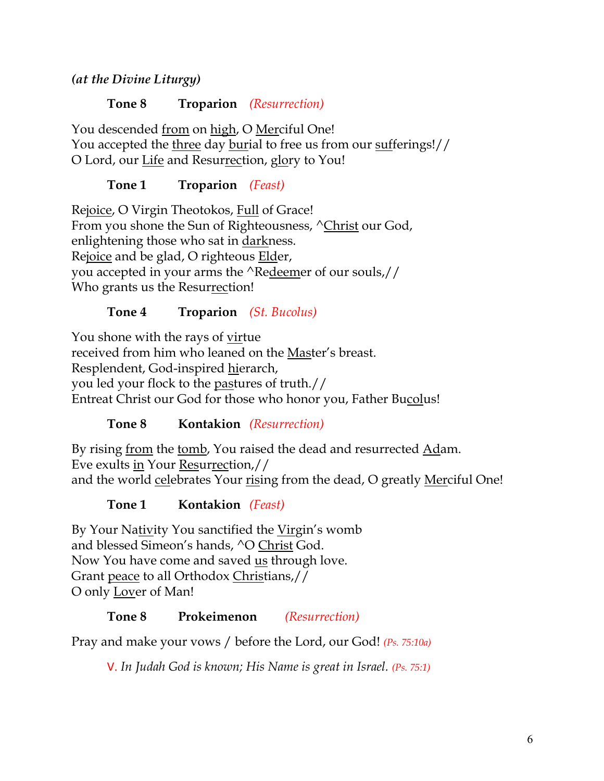*(at the Divine Liturgy)*

**Tone 8 Troparion** *(Resurrection)*

You descended from on high, O Merciful One! You accepted the three day burial to free us from our sufferings!// O Lord, our Life and Resurrection, glory to You!

**Tone 1 Troparion** *(Feast)*

Rejoice, O Virgin Theotokos, Full of Grace! From you shone the Sun of Righteousness, ^Christ our God, enlightening those who sat in darkness. Rejoice and be glad, O righteous Elder, you accepted in your arms the ^Redeemer of our souls,// Who grants us the Resurrection!

# **Tone 4 Troparion** *(St. Bucolus)*

You shone with the rays of virtue received from him who leaned on the Master's breast. Resplendent, God-inspired hierarch, you led your flock to the pastures of truth.// Entreat Christ our God for those who honor you, Father Bucolus!

# **Tone 8 Kontakion** *(Resurrection)*

By rising <u>from</u> the <u>tomb</u>, You raised the dead and resurrected <u>Ad</u>am. Eve exults in Your Resurrection,// and the world celebrates Your rising from the dead, O greatly Merciful One!

**Tone 1 Kontakion** *(Feast)*

By Your Nativity You sanctified the Virgin's womb and blessed Simeon's hands, ^O Christ God. Now You have come and saved us through love. Grant peace to all Orthodox Christians,// O only Lover of Man!

# **Tone 8 Prokeimenon** *(Resurrection)*

Pray and make your vows / before the Lord, our God! *(Ps. 75:10a)*

V. *In Judah God is known; His Name is great in Israel. (Ps. 75:1)*